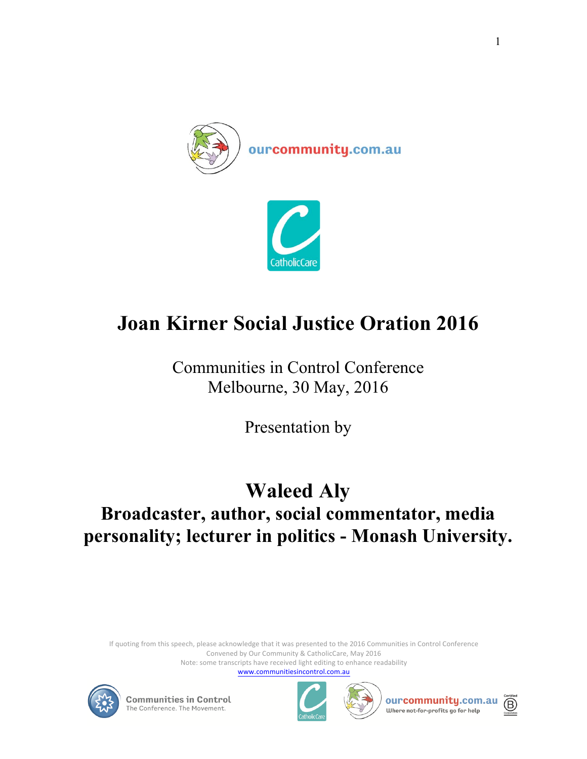



## **Joan Kirner Social Justice Oration 2016**

Communities in Control Conference Melbourne, 30 May, 2016

Presentation by

## **Waleed Aly Broadcaster, author, social commentator, media personality; lecturer in politics - Monash University.**

If quoting from this speech, please acknowledge that it was presented to the 2016 Communities in Control Conference Convened by Our Community & CatholicCare, May 2016 Note: some transcripts have received light editing to enhance readability

www.communitiesincontrol.com.au









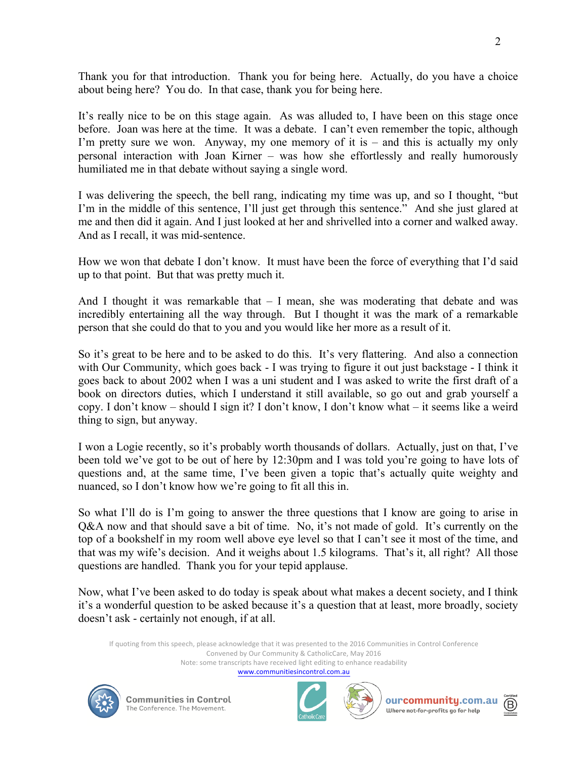Thank you for that introduction. Thank you for being here. Actually, do you have a choice about being here? You do. In that case, thank you for being here.

It's really nice to be on this stage again. As was alluded to, I have been on this stage once before. Joan was here at the time. It was a debate. I can't even remember the topic, although I'm pretty sure we won. Anyway, my one memory of it is – and this is actually my only personal interaction with Joan Kirner – was how she effortlessly and really humorously humiliated me in that debate without saying a single word.

I was delivering the speech, the bell rang, indicating my time was up, and so I thought, "but I'm in the middle of this sentence, I'll just get through this sentence." And she just glared at me and then did it again. And I just looked at her and shrivelled into a corner and walked away. And as I recall, it was mid-sentence.

How we won that debate I don't know. It must have been the force of everything that I'd said up to that point. But that was pretty much it.

And I thought it was remarkable that  $-1$  mean, she was moderating that debate and was incredibly entertaining all the way through. But I thought it was the mark of a remarkable person that she could do that to you and you would like her more as a result of it.

So it's great to be here and to be asked to do this. It's very flattering. And also a connection with Our Community, which goes back - I was trying to figure it out just backstage - I think it goes back to about 2002 when I was a uni student and I was asked to write the first draft of a book on directors duties, which I understand it still available, so go out and grab yourself a copy. I don't know – should I sign it? I don't know, I don't know what – it seems like a weird thing to sign, but anyway.

I won a Logie recently, so it's probably worth thousands of dollars. Actually, just on that, I've been told we've got to be out of here by 12:30pm and I was told you're going to have lots of questions and, at the same time, I've been given a topic that's actually quite weighty and nuanced, so I don't know how we're going to fit all this in.

So what I'll do is I'm going to answer the three questions that I know are going to arise in Q&A now and that should save a bit of time. No, it's not made of gold. It's currently on the top of a bookshelf in my room well above eye level so that I can't see it most of the time, and that was my wife's decision. And it weighs about 1.5 kilograms. That's it, all right? All those questions are handled. Thank you for your tepid applause.

Now, what I've been asked to do today is speak about what makes a decent society, and I think it's a wonderful question to be asked because it's a question that at least, more broadly, society doesn't ask - certainly not enough, if at all.

If quoting from this speech, please acknowledge that it was presented to the 2016 Communities in Control Conference Convened by Our Community & CatholicCare, May 2016 Note: some transcripts have received light editing to enhance readability

www.communitiesincontrol.com.au







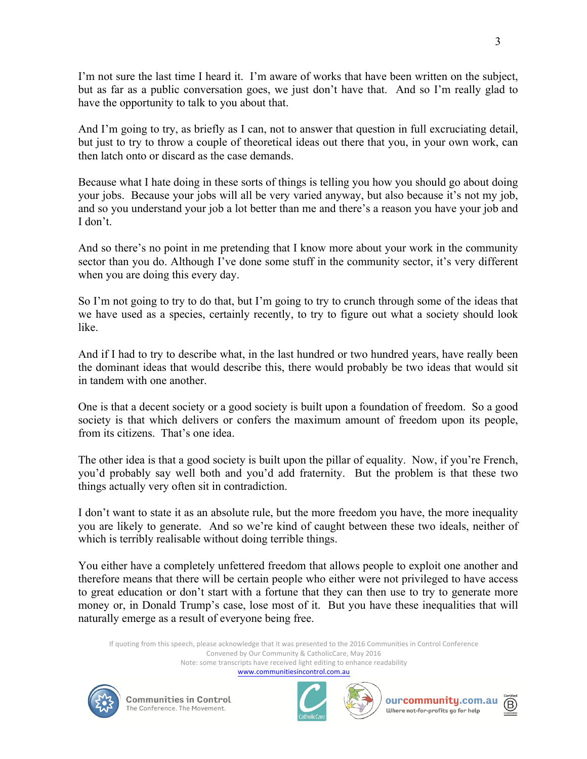I'm not sure the last time I heard it. I'm aware of works that have been written on the subject, but as far as a public conversation goes, we just don't have that. And so I'm really glad to have the opportunity to talk to you about that.

And I'm going to try, as briefly as I can, not to answer that question in full excruciating detail, but just to try to throw a couple of theoretical ideas out there that you, in your own work, can then latch onto or discard as the case demands.

Because what I hate doing in these sorts of things is telling you how you should go about doing your jobs. Because your jobs will all be very varied anyway, but also because it's not my job, and so you understand your job a lot better than me and there's a reason you have your job and I don't.

And so there's no point in me pretending that I know more about your work in the community sector than you do. Although I've done some stuff in the community sector, it's very different when you are doing this every day.

So I'm not going to try to do that, but I'm going to try to crunch through some of the ideas that we have used as a species, certainly recently, to try to figure out what a society should look like.

And if I had to try to describe what, in the last hundred or two hundred years, have really been the dominant ideas that would describe this, there would probably be two ideas that would sit in tandem with one another.

One is that a decent society or a good society is built upon a foundation of freedom. So a good society is that which delivers or confers the maximum amount of freedom upon its people, from its citizens. That's one idea.

The other idea is that a good society is built upon the pillar of equality. Now, if you're French, you'd probably say well both and you'd add fraternity. But the problem is that these two things actually very often sit in contradiction.

I don't want to state it as an absolute rule, but the more freedom you have, the more inequality you are likely to generate. And so we're kind of caught between these two ideals, neither of which is terribly realisable without doing terrible things.

You either have a completely unfettered freedom that allows people to exploit one another and therefore means that there will be certain people who either were not privileged to have access to great education or don't start with a fortune that they can then use to try to generate more money or, in Donald Trump's case, lose most of it. But you have these inequalities that will naturally emerge as a result of everyone being free.

If quoting from this speech, please acknowledge that it was presented to the 2016 Communities in Control Conference Convened by Our Community & CatholicCare, May 2016 Note: some transcripts have received light editing to enhance readability

www.communitiesincontrol.com.au









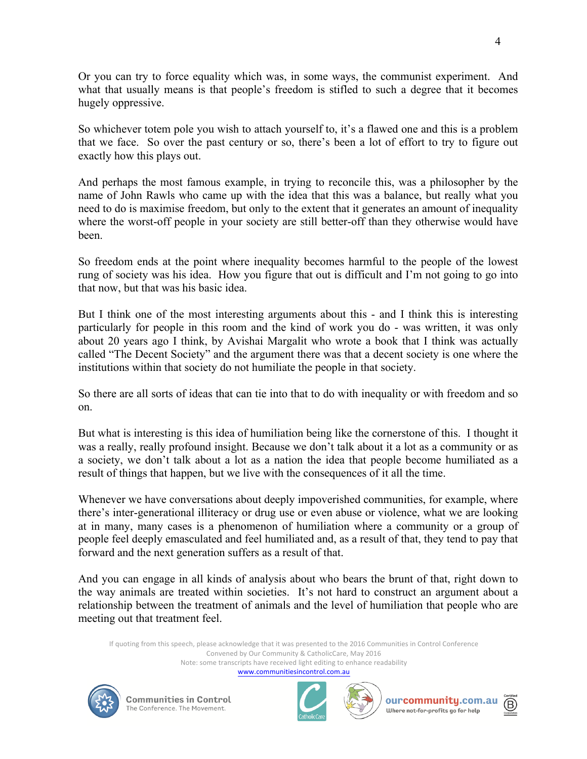Or you can try to force equality which was, in some ways, the communist experiment. And what that usually means is that people's freedom is stifled to such a degree that it becomes hugely oppressive.

So whichever totem pole you wish to attach yourself to, it's a flawed one and this is a problem that we face. So over the past century or so, there's been a lot of effort to try to figure out exactly how this plays out.

And perhaps the most famous example, in trying to reconcile this, was a philosopher by the name of John Rawls who came up with the idea that this was a balance, but really what you need to do is maximise freedom, but only to the extent that it generates an amount of inequality where the worst-off people in your society are still better-off than they otherwise would have been.

So freedom ends at the point where inequality becomes harmful to the people of the lowest rung of society was his idea. How you figure that out is difficult and I'm not going to go into that now, but that was his basic idea.

But I think one of the most interesting arguments about this - and I think this is interesting particularly for people in this room and the kind of work you do - was written, it was only about 20 years ago I think, by Avishai Margalit who wrote a book that I think was actually called "The Decent Society" and the argument there was that a decent society is one where the institutions within that society do not humiliate the people in that society.

So there are all sorts of ideas that can tie into that to do with inequality or with freedom and so on.

But what is interesting is this idea of humiliation being like the cornerstone of this. I thought it was a really, really profound insight. Because we don't talk about it a lot as a community or as a society, we don't talk about a lot as a nation the idea that people become humiliated as a result of things that happen, but we live with the consequences of it all the time.

Whenever we have conversations about deeply impoverished communities, for example, where there's inter-generational illiteracy or drug use or even abuse or violence, what we are looking at in many, many cases is a phenomenon of humiliation where a community or a group of people feel deeply emasculated and feel humiliated and, as a result of that, they tend to pay that forward and the next generation suffers as a result of that.

And you can engage in all kinds of analysis about who bears the brunt of that, right down to the way animals are treated within societies. It's not hard to construct an argument about a relationship between the treatment of animals and the level of humiliation that people who are meeting out that treatment feel.

If quoting from this speech, please acknowledge that it was presented to the 2016 Communities in Control Conference Convened by Our Community & CatholicCare, May 2016 Note: some transcripts have received light editing to enhance readability

www.communitiesincontrol.com.au







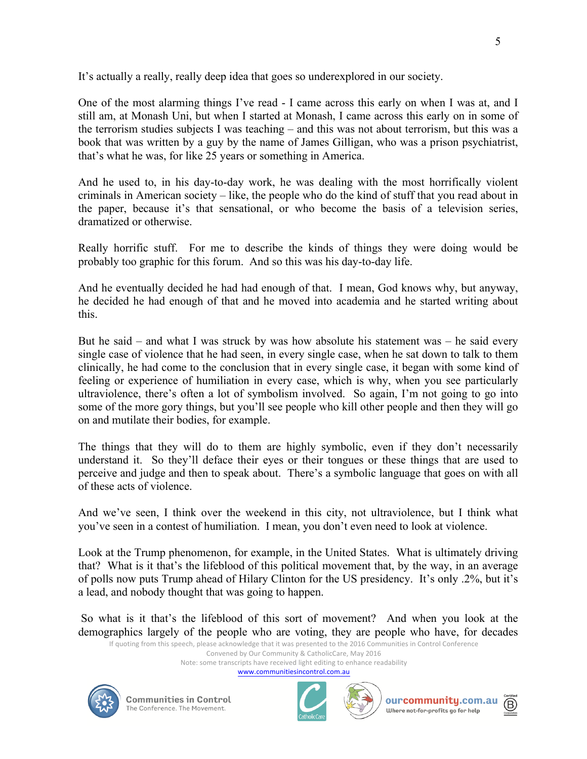It's actually a really, really deep idea that goes so underexplored in our society.

One of the most alarming things I've read - I came across this early on when I was at, and I still am, at Monash Uni, but when I started at Monash, I came across this early on in some of the terrorism studies subjects I was teaching – and this was not about terrorism, but this was a book that was written by a guy by the name of James Gilligan, who was a prison psychiatrist, that's what he was, for like 25 years or something in America.

And he used to, in his day-to-day work, he was dealing with the most horrifically violent criminals in American society – like, the people who do the kind of stuff that you read about in the paper, because it's that sensational, or who become the basis of a television series, dramatized or otherwise.

Really horrific stuff. For me to describe the kinds of things they were doing would be probably too graphic for this forum. And so this was his day-to-day life.

And he eventually decided he had had enough of that. I mean, God knows why, but anyway, he decided he had enough of that and he moved into academia and he started writing about this.

But he said – and what I was struck by was how absolute his statement was – he said every single case of violence that he had seen, in every single case, when he sat down to talk to them clinically, he had come to the conclusion that in every single case, it began with some kind of feeling or experience of humiliation in every case, which is why, when you see particularly ultraviolence, there's often a lot of symbolism involved. So again, I'm not going to go into some of the more gory things, but you'll see people who kill other people and then they will go on and mutilate their bodies, for example.

The things that they will do to them are highly symbolic, even if they don't necessarily understand it. So they'll deface their eyes or their tongues or these things that are used to perceive and judge and then to speak about. There's a symbolic language that goes on with all of these acts of violence.

And we've seen, I think over the weekend in this city, not ultraviolence, but I think what you've seen in a contest of humiliation. I mean, you don't even need to look at violence.

Look at the Trump phenomenon, for example, in the United States. What is ultimately driving that? What is it that's the lifeblood of this political movement that, by the way, in an average of polls now puts Trump ahead of Hilary Clinton for the US presidency. It's only .2%, but it's a lead, and nobody thought that was going to happen.

So what is it that's the lifeblood of this sort of movement? And when you look at the demographics largely of the people who are voting, they are people who have, for decades

If quoting from this speech, please acknowledge that it was presented to the 2016 Communities in Control Conference Convened by Our Community & CatholicCare, May 2016

Note: some transcripts have received light editing to enhance readability

www.communitiesincontrol.com.au







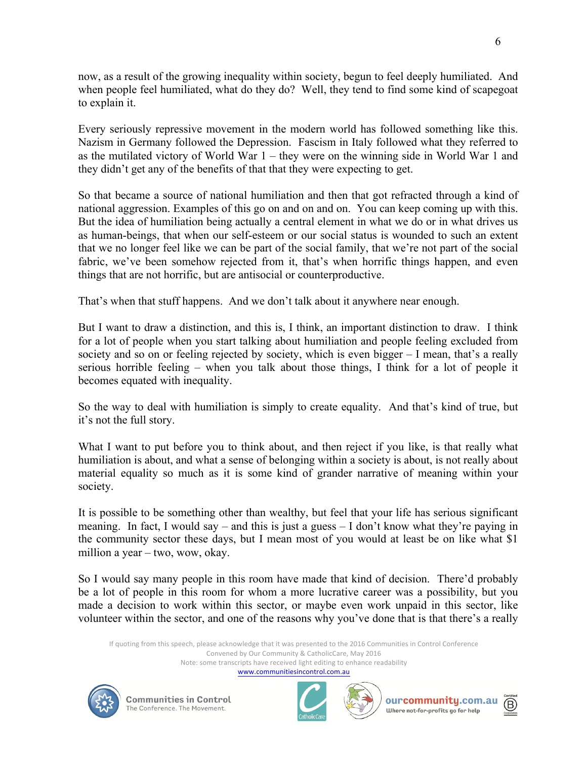now, as a result of the growing inequality within society, begun to feel deeply humiliated. And when people feel humiliated, what do they do? Well, they tend to find some kind of scapegoat to explain it.

Every seriously repressive movement in the modern world has followed something like this. Nazism in Germany followed the Depression. Fascism in Italy followed what they referred to as the mutilated victory of World War 1 – they were on the winning side in World War 1 and they didn't get any of the benefits of that that they were expecting to get.

So that became a source of national humiliation and then that got refracted through a kind of national aggression. Examples of this go on and on and on. You can keep coming up with this. But the idea of humiliation being actually a central element in what we do or in what drives us as human-beings, that when our self-esteem or our social status is wounded to such an extent that we no longer feel like we can be part of the social family, that we're not part of the social fabric, we've been somehow rejected from it, that's when horrific things happen, and even things that are not horrific, but are antisocial or counterproductive.

That's when that stuff happens. And we don't talk about it anywhere near enough.

But I want to draw a distinction, and this is, I think, an important distinction to draw. I think for a lot of people when you start talking about humiliation and people feeling excluded from society and so on or feeling rejected by society, which is even bigger – I mean, that's a really serious horrible feeling – when you talk about those things, I think for a lot of people it becomes equated with inequality.

So the way to deal with humiliation is simply to create equality. And that's kind of true, but it's not the full story.

What I want to put before you to think about, and then reject if you like, is that really what humiliation is about, and what a sense of belonging within a society is about, is not really about material equality so much as it is some kind of grander narrative of meaning within your society.

It is possible to be something other than wealthy, but feel that your life has serious significant meaning. In fact, I would say – and this is just a guess  $-1$  don't know what they're paying in the community sector these days, but I mean most of you would at least be on like what \$1 million a year – two, wow, okay.

So I would say many people in this room have made that kind of decision. There'd probably be a lot of people in this room for whom a more lucrative career was a possibility, but you made a decision to work within this sector, or maybe even work unpaid in this sector, like volunteer within the sector, and one of the reasons why you've done that is that there's a really

If quoting from this speech, please acknowledge that it was presented to the 2016 Communities in Control Conference Convened by Our Community & CatholicCare, May 2016

Note: some transcripts have received light editing to enhance readability

www.communitiesincontrol.com.au







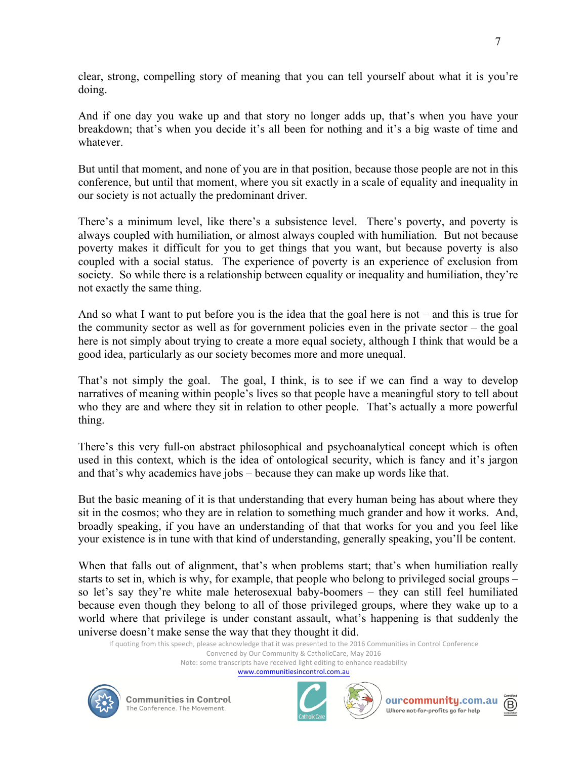clear, strong, compelling story of meaning that you can tell yourself about what it is you're doing.

And if one day you wake up and that story no longer adds up, that's when you have your breakdown; that's when you decide it's all been for nothing and it's a big waste of time and whatever.

But until that moment, and none of you are in that position, because those people are not in this conference, but until that moment, where you sit exactly in a scale of equality and inequality in our society is not actually the predominant driver.

There's a minimum level, like there's a subsistence level. There's poverty, and poverty is always coupled with humiliation, or almost always coupled with humiliation. But not because poverty makes it difficult for you to get things that you want, but because poverty is also coupled with a social status. The experience of poverty is an experience of exclusion from society. So while there is a relationship between equality or inequality and humiliation, they're not exactly the same thing.

And so what I want to put before you is the idea that the goal here is not – and this is true for the community sector as well as for government policies even in the private sector – the goal here is not simply about trying to create a more equal society, although I think that would be a good idea, particularly as our society becomes more and more unequal.

That's not simply the goal. The goal, I think, is to see if we can find a way to develop narratives of meaning within people's lives so that people have a meaningful story to tell about who they are and where they sit in relation to other people. That's actually a more powerful thing.

There's this very full-on abstract philosophical and psychoanalytical concept which is often used in this context, which is the idea of ontological security, which is fancy and it's jargon and that's why academics have jobs – because they can make up words like that.

But the basic meaning of it is that understanding that every human being has about where they sit in the cosmos; who they are in relation to something much grander and how it works. And, broadly speaking, if you have an understanding of that that works for you and you feel like your existence is in tune with that kind of understanding, generally speaking, you'll be content.

When that falls out of alignment, that's when problems start; that's when humiliation really starts to set in, which is why, for example, that people who belong to privileged social groups – so let's say they're white male heterosexual baby-boomers – they can still feel humiliated because even though they belong to all of those privileged groups, where they wake up to a world where that privilege is under constant assault, what's happening is that suddenly the universe doesn't make sense the way that they thought it did.

If quoting from this speech, please acknowledge that it was presented to the 2016 Communities in Control Conference Convened by Our Community & CatholicCare, May 2016

Note: some transcripts have received light editing to enhance readability

www.communitiesincontrol.com.au









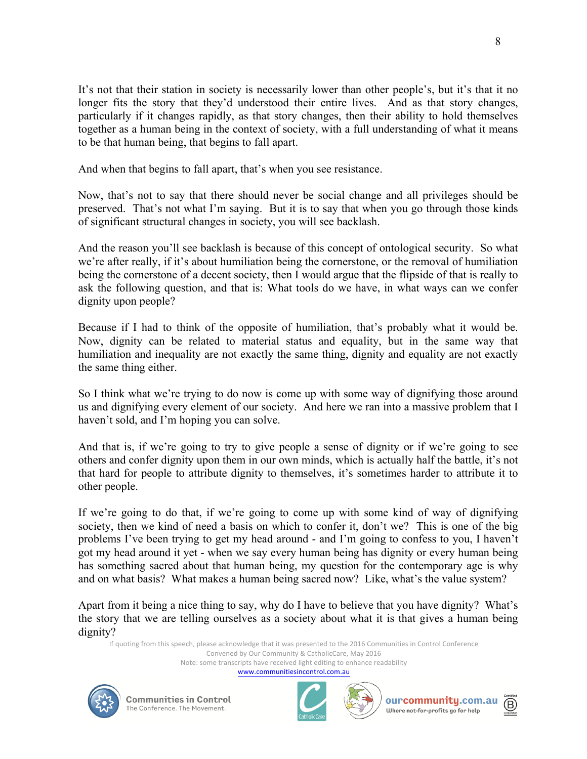It's not that their station in society is necessarily lower than other people's, but it's that it no longer fits the story that they'd understood their entire lives. And as that story changes, particularly if it changes rapidly, as that story changes, then their ability to hold themselves together as a human being in the context of society, with a full understanding of what it means to be that human being, that begins to fall apart.

And when that begins to fall apart, that's when you see resistance.

Now, that's not to say that there should never be social change and all privileges should be preserved. That's not what I'm saying. But it is to say that when you go through those kinds of significant structural changes in society, you will see backlash.

And the reason you'll see backlash is because of this concept of ontological security. So what we're after really, if it's about humiliation being the cornerstone, or the removal of humiliation being the cornerstone of a decent society, then I would argue that the flipside of that is really to ask the following question, and that is: What tools do we have, in what ways can we confer dignity upon people?

Because if I had to think of the opposite of humiliation, that's probably what it would be. Now, dignity can be related to material status and equality, but in the same way that humiliation and inequality are not exactly the same thing, dignity and equality are not exactly the same thing either.

So I think what we're trying to do now is come up with some way of dignifying those around us and dignifying every element of our society. And here we ran into a massive problem that I haven't sold, and I'm hoping you can solve.

And that is, if we're going to try to give people a sense of dignity or if we're going to see others and confer dignity upon them in our own minds, which is actually half the battle, it's not that hard for people to attribute dignity to themselves, it's sometimes harder to attribute it to other people.

If we're going to do that, if we're going to come up with some kind of way of dignifying society, then we kind of need a basis on which to confer it, don't we? This is one of the big problems I've been trying to get my head around - and I'm going to confess to you, I haven't got my head around it yet - when we say every human being has dignity or every human being has something sacred about that human being, my question for the contemporary age is why and on what basis? What makes a human being sacred now? Like, what's the value system?

Apart from it being a nice thing to say, why do I have to believe that you have dignity? What's the story that we are telling ourselves as a society about what it is that gives a human being dignity?

If quoting from this speech, please acknowledge that it was presented to the 2016 Communities in Control Conference

Convened by Our Community & CatholicCare, May 2016 Note: some transcripts have received light editing to enhance readability

www.communitiesincontrol.com.au







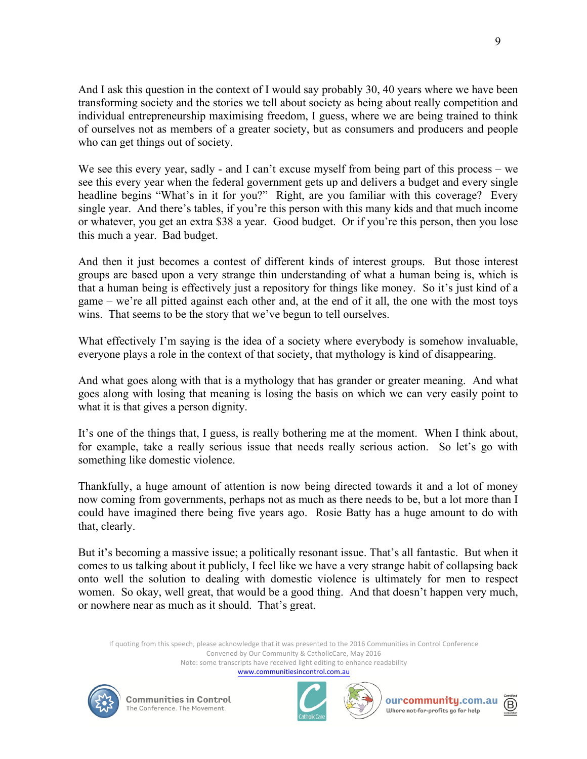And I ask this question in the context of I would say probably 30, 40 years where we have been transforming society and the stories we tell about society as being about really competition and individual entrepreneurship maximising freedom, I guess, where we are being trained to think of ourselves not as members of a greater society, but as consumers and producers and people who can get things out of society.

We see this every year, sadly - and I can't excuse myself from being part of this process – we see this every year when the federal government gets up and delivers a budget and every single headline begins "What's in it for you?" Right, are you familiar with this coverage? Every single year. And there's tables, if you're this person with this many kids and that much income or whatever, you get an extra \$38 a year. Good budget. Or if you're this person, then you lose this much a year. Bad budget.

And then it just becomes a contest of different kinds of interest groups. But those interest groups are based upon a very strange thin understanding of what a human being is, which is that a human being is effectively just a repository for things like money. So it's just kind of a game – we're all pitted against each other and, at the end of it all, the one with the most toys wins. That seems to be the story that we've begun to tell ourselves.

What effectively I'm saying is the idea of a society where everybody is somehow invaluable, everyone plays a role in the context of that society, that mythology is kind of disappearing.

And what goes along with that is a mythology that has grander or greater meaning. And what goes along with losing that meaning is losing the basis on which we can very easily point to what it is that gives a person dignity.

It's one of the things that, I guess, is really bothering me at the moment. When I think about, for example, take a really serious issue that needs really serious action. So let's go with something like domestic violence.

Thankfully, a huge amount of attention is now being directed towards it and a lot of money now coming from governments, perhaps not as much as there needs to be, but a lot more than I could have imagined there being five years ago. Rosie Batty has a huge amount to do with that, clearly.

But it's becoming a massive issue; a politically resonant issue. That's all fantastic. But when it comes to us talking about it publicly, I feel like we have a very strange habit of collapsing back onto well the solution to dealing with domestic violence is ultimately for men to respect women. So okay, well great, that would be a good thing. And that doesn't happen very much, or nowhere near as much as it should. That's great.

If quoting from this speech, please acknowledge that it was presented to the 2016 Communities in Control Conference Convened by Our Community & CatholicCare, May 2016 Note: some transcripts have received light editing to enhance readability

www.communitiesincontrol.com.au









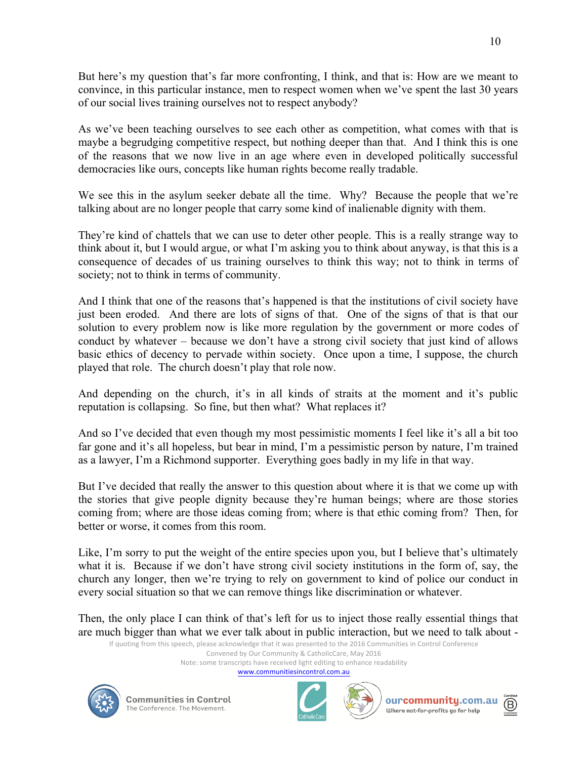But here's my question that's far more confronting, I think, and that is: How are we meant to convince, in this particular instance, men to respect women when we've spent the last 30 years of our social lives training ourselves not to respect anybody?

As we've been teaching ourselves to see each other as competition, what comes with that is maybe a begrudging competitive respect, but nothing deeper than that. And I think this is one of the reasons that we now live in an age where even in developed politically successful democracies like ours, concepts like human rights become really tradable.

We see this in the asylum seeker debate all the time. Why? Because the people that we're talking about are no longer people that carry some kind of inalienable dignity with them.

They're kind of chattels that we can use to deter other people. This is a really strange way to think about it, but I would argue, or what I'm asking you to think about anyway, is that this is a consequence of decades of us training ourselves to think this way; not to think in terms of society; not to think in terms of community.

And I think that one of the reasons that's happened is that the institutions of civil society have just been eroded. And there are lots of signs of that. One of the signs of that is that our solution to every problem now is like more regulation by the government or more codes of conduct by whatever – because we don't have a strong civil society that just kind of allows basic ethics of decency to pervade within society. Once upon a time, I suppose, the church played that role. The church doesn't play that role now.

And depending on the church, it's in all kinds of straits at the moment and it's public reputation is collapsing. So fine, but then what? What replaces it?

And so I've decided that even though my most pessimistic moments I feel like it's all a bit too far gone and it's all hopeless, but bear in mind, I'm a pessimistic person by nature, I'm trained as a lawyer, I'm a Richmond supporter. Everything goes badly in my life in that way.

But I've decided that really the answer to this question about where it is that we come up with the stories that give people dignity because they're human beings; where are those stories coming from; where are those ideas coming from; where is that ethic coming from? Then, for better or worse, it comes from this room.

Like, I'm sorry to put the weight of the entire species upon you, but I believe that's ultimately what it is. Because if we don't have strong civil society institutions in the form of, say, the church any longer, then we're trying to rely on government to kind of police our conduct in every social situation so that we can remove things like discrimination or whatever.

Then, the only place I can think of that's left for us to inject those really essential things that are much bigger than what we ever talk about in public interaction, but we need to talk about -

If quoting from this speech, please acknowledge that it was presented to the 2016 Communities in Control Conference Convened by Our Community & CatholicCare, May 2016

Note: some transcripts have received light editing to enhance readability

www.communitiesincontrol.com.au